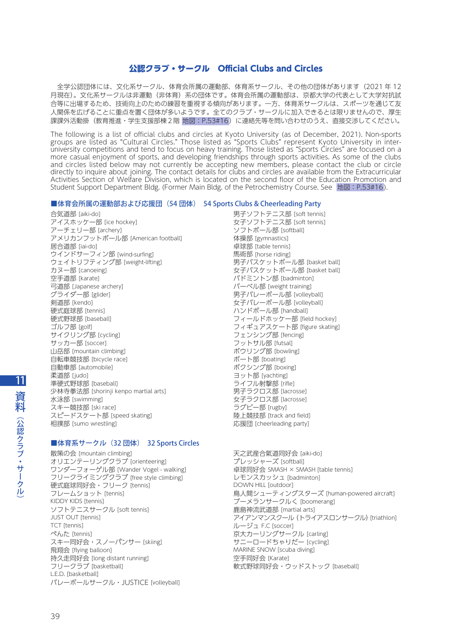# 公認クラブ・サークル Official Clubs and Circles

 全学公認団体には、文化系サークル、体育会所属の運動部、体育系サークル、その他の団体があります(2021 年 12 月現在)。文化系サークルは非運動(非体育)系の団体です。体育会所属の運動部は、京都大学の代表として大学対抗試 合等に出場するため、技術向上のための練習を重視する傾向があります。一方、体育系サークルは、スポーツを通じて友 人関係を広げることに重点を置く団体が多いようです。全てのクラブ・サークルに加入できるとは限りませんので、厚生 課課外活動掛(教育推進・学生支援部棟2階 地図:P.53#16)に連絡先等を問い合わせのうえ、直接交渉してください。

The following is a list of official clubs and circles at Kyoto University (as of December, 2021). Non-sports groups are listed as "Cultural Circles." Those listed as "Sports Clubs" represent Kyoto University in interuniversity competitions and tend to focus on heavy training. Those listed as "Sports Circles" are focused on a more casual enjoyment of sports, and developing friendships through sports activities. As some of the clubs and circles listed below may not currently be accepting new members, please contact the club or circle directly to inquire about joining. The contact details for clubs and circles are available from the Extracurricular Activities Section of Welfare Division, which is located on the second floor of the Education Promotion and Student Support Department Bldg. (Former Main Bldg. of the Petrochemistry Course. See 地図:P.53#16).

### ■体育会所属の運動部および応援団 (54 団体) 54 Sports Clubs & Cheerleading Party

合気道部 [aiki-do] アイスホッケー部 [ice hockey] アーチェリー部 [archery] アメリカンフットボール部 [American football] 居合道部 [iai-do] ウインドサーフィン部 [wind-surfing] ウェイトリフティング部 [weight-lifting] カヌー部 [canoeing] 空手道部 [karate] 弓道部 [Japanese archery] グライダー部 [glider] 剣道部 [kendo] 硬式庭球部 [tennis] 硬式野球部 [baseball] ゴルフ部 [golf] サイクリング部 [cycling] サッカー部 [soccer] 山岳部 [mountain climbing] 自転車競技部 [bicycle race] 自動車部 [automobile] 柔道部 [judo] 準硬式野球部 [baseball] 少林寺拳法部 [shorinji kenpo martial arts] 水泳部 [swimming] スキー競技部 [ski race] スピードスケート部 [speed skating] 相撲部 [sumo wrestling]

## ■体育系サークル (32 団体) 32 Sports Circles

散策の会 [mountain climbing] オリエンテーリングクラブ [orienteering] ワンダーフォーゲル部 [Wander Vogel - walking] フリークライミングクラブ [free style climbing] 硬式庭球同好会・フリーク [tennis] フレームショット [tennis] KIDDY KIDS [tennis] ソフトテニスサークル [soft tennis] JUST OUT [tennis] TCT [tennis] ぺんた [tennis] スキー同好会・スノーパンサー [skiing] 飛翔会 [flying balloon] 持久走同好会 [long distant running] フリークラブ [basketball] L.E.D. [basketball] バレーボールサークル・JUSTICE [volleyball]

男子ソフトテニス部 [soft tennis] 女子ソフトテニス部 [soft tennis] ソフトボール部 [softball] 体操部 [gymnastics] 卓球部 [table tennis] 馬術部 [horse riding] 男子バスケットボール部 [basket ball] 女子バスケットボール部 [basket ball] バドミントン部 [badminton] バーベル部 [weight training] 男子バレーボール部 [volleyball] 女子バレーボール部 [volleyball] ハンドボール部 [handball] フィールドホッケー部 [field hockey] フィギュアスケート部 [figure skating] -<br>フェンシング部 [fencing] フットサル部 [futsal] ボウリング部 [bowling] ボート部 [boating] ボクシング部 [boxing] ヨット部 [yachting] ライフル射撃部 [rifle] 男子ラクロス部 [lacrosse] 女子ラクロス部 [lacrosse] ラグビー部 [rugby] 陸上競技部 [track and field] 応援団 [cheerleading party]

天之武産合氣道同好会 [aiki-do] プレッシャーズ [softball] 卓球同好会 SMASH × SMASH [table tennis] レモンスカッシュ [badminton] DOWN HILL [outdoor] 鳥人間シューティングスターズ [human-powered aircraft] ブーメランサークルく [boomerang] 鹿島神流武道部 [martial arts] アイアンマンスクール(トライアスロンサークル)[triathlon] ルージュ F.C [soccer] 京大カーリングサークル [carling] サニーロードちゃりだー [cycling] MARINE SNOW [scuba diving] 空手同好会 [Karate] 軟式野球同好会・ウッドストック [baseball]